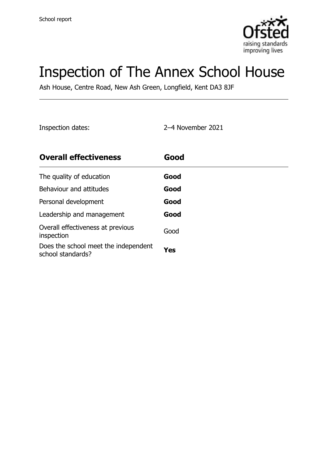

# Inspection of The Annex School House

Ash House, Centre Road, New Ash Green, Longfield, Kent DA3 8JF

Inspection dates: 2–4 November 2021

| <b>Overall effectiveness</b>                              | Good |
|-----------------------------------------------------------|------|
| The quality of education                                  | Good |
| Behaviour and attitudes                                   | Good |
| Personal development                                      | Good |
| Leadership and management                                 | Good |
| Overall effectiveness at previous<br>inspection           | Good |
| Does the school meet the independent<br>school standards? | Yes  |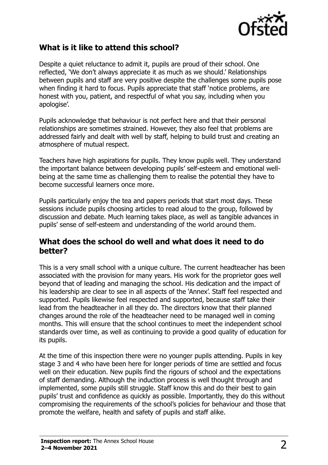

### **What is it like to attend this school?**

Despite a quiet reluctance to admit it, pupils are proud of their school. One reflected, 'We don't always appreciate it as much as we should.' Relationships between pupils and staff are very positive despite the challenges some pupils pose when finding it hard to focus. Pupils appreciate that staff 'notice problems, are honest with you, patient, and respectful of what you say, including when you apologise'.

Pupils acknowledge that behaviour is not perfect here and that their personal relationships are sometimes strained. However, they also feel that problems are addressed fairly and dealt with well by staff, helping to build trust and creating an atmosphere of mutual respect.

Teachers have high aspirations for pupils. They know pupils well. They understand the important balance between developing pupils' self-esteem and emotional wellbeing at the same time as challenging them to realise the potential they have to become successful learners once more.

Pupils particularly enjoy the tea and papers periods that start most days. These sessions include pupils choosing articles to read aloud to the group, followed by discussion and debate. Much learning takes place, as well as tangible advances in pupils' sense of self-esteem and understanding of the world around them.

#### **What does the school do well and what does it need to do better?**

This is a very small school with a unique culture. The current headteacher has been associated with the provision for many years. His work for the proprietor goes well beyond that of leading and managing the school. His dedication and the impact of his leadership are clear to see in all aspects of the 'Annex'. Staff feel respected and supported. Pupils likewise feel respected and supported, because staff take their lead from the headteacher in all they do. The directors know that their planned changes around the role of the headteacher need to be managed well in coming months. This will ensure that the school continues to meet the independent school standards over time, as well as continuing to provide a good quality of education for its pupils.

At the time of this inspection there were no younger pupils attending. Pupils in key stage 3 and 4 who have been here for longer periods of time are settled and focus well on their education. New pupils find the rigours of school and the expectations of staff demanding. Although the induction process is well thought through and implemented, some pupils still struggle. Staff know this and do their best to gain pupils' trust and confidence as quickly as possible. Importantly, they do this without compromising the requirements of the school's policies for behaviour and those that promote the welfare, health and safety of pupils and staff alike.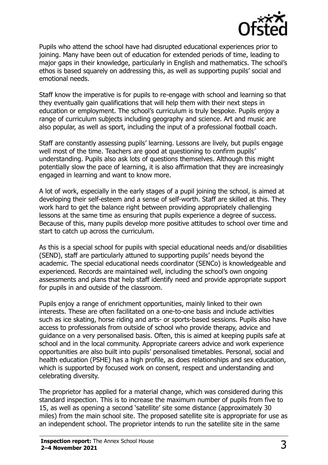

Pupils who attend the school have had disrupted educational experiences prior to joining. Many have been out of education for extended periods of time, leading to major gaps in their knowledge, particularly in English and mathematics. The school's ethos is based squarely on addressing this, as well as supporting pupils' social and emotional needs.

Staff know the imperative is for pupils to re-engage with school and learning so that they eventually gain qualifications that will help them with their next steps in education or employment. The school's curriculum is truly bespoke. Pupils enjoy a range of curriculum subjects including geography and science. Art and music are also popular, as well as sport, including the input of a professional football coach.

Staff are constantly assessing pupils' learning. Lessons are lively, but pupils engage well most of the time. Teachers are good at questioning to confirm pupils' understanding. Pupils also ask lots of questions themselves. Although this might potentially slow the pace of learning, it is also affirmation that they are increasingly engaged in learning and want to know more.

A lot of work, especially in the early stages of a pupil joining the school, is aimed at developing their self-esteem and a sense of self-worth. Staff are skilled at this. They work hard to get the balance right between providing appropriately challenging lessons at the same time as ensuring that pupils experience a degree of success. Because of this, many pupils develop more positive attitudes to school over time and start to catch up across the curriculum.

As this is a special school for pupils with special educational needs and/or disabilities (SEND), staff are particularly attuned to supporting pupils' needs beyond the academic. The special educational needs coordinator (SENCo) is knowledgeable and experienced. Records are maintained well, including the school's own ongoing assessments and plans that help staff identify need and provide appropriate support for pupils in and outside of the classroom.

Pupils enjoy a range of enrichment opportunities, mainly linked to their own interests. These are often facilitated on a one-to-one basis and include activities such as ice skating, horse riding and arts- or sports-based sessions. Pupils also have access to professionals from outside of school who provide therapy, advice and guidance on a very personalised basis. Often, this is aimed at keeping pupils safe at school and in the local community. Appropriate careers advice and work experience opportunities are also built into pupils' personalised timetables. Personal, social and health education (PSHE) has a high profile, as does relationships and sex education, which is supported by focused work on consent, respect and understanding and celebrating diversity.

The proprietor has applied for a material change, which was considered during this standard inspection. This is to increase the maximum number of pupils from five to 15, as well as opening a second 'satellite' site some distance (approximately 30 miles) from the main school site. The proposed satellite site is appropriate for use as an independent school. The proprietor intends to run the satellite site in the same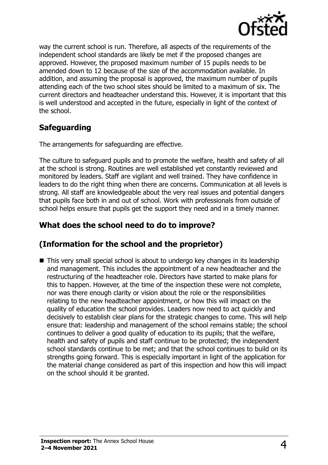

way the current school is run. Therefore, all aspects of the requirements of the independent school standards are likely be met if the proposed changes are approved. However, the proposed maximum number of 15 pupils needs to be amended down to 12 because of the size of the accommodation available. In addition, and assuming the proposal is approved, the maximum number of pupils attending each of the two school sites should be limited to a maximum of six. The current directors and headteacher understand this. However, it is important that this is well understood and accepted in the future, especially in light of the context of the school.

# **Safeguarding**

The arrangements for safeguarding are effective.

The culture to safeguard pupils and to promote the welfare, health and safety of all at the school is strong. Routines are well established yet constantly reviewed and monitored by leaders. Staff are vigilant and well trained. They have confidence in leaders to do the right thing when there are concerns. Communication at all levels is strong. All staff are knowledgeable about the very real issues and potential dangers that pupils face both in and out of school. Work with professionals from outside of school helps ensure that pupils get the support they need and in a timely manner.

## **What does the school need to do to improve?**

# **(Information for the school and the proprietor)**

■ This very small special school is about to undergo key changes in its leadership and management. This includes the appointment of a new headteacher and the restructuring of the headteacher role. Directors have started to make plans for this to happen. However, at the time of the inspection these were not complete, nor was there enough clarity or vision about the role or the responsibilities relating to the new headteacher appointment, or how this will impact on the quality of education the school provides. Leaders now need to act quickly and decisively to establish clear plans for the strategic changes to come. This will help ensure that: leadership and management of the school remains stable; the school continues to deliver a good quality of education to its pupils; that the welfare, health and safety of pupils and staff continue to be protected; the independent school standards continue to be met; and that the school continues to build on its strengths going forward. This is especially important in light of the application for the material change considered as part of this inspection and how this will impact on the school should it be granted.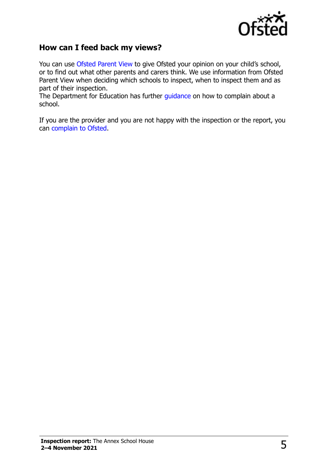

### **How can I feed back my views?**

You can use [Ofsted Parent View](http://parentview.ofsted.gov.uk/) to give Ofsted your opinion on your child's school, or to find out what other parents and carers think. We use information from Ofsted Parent View when deciding which schools to inspect, when to inspect them and as part of their inspection.

The Department for Education has further quidance on how to complain about a school.

If you are the provider and you are not happy with the inspection or the report, you can [complain to Ofsted.](http://www.gov.uk/complain-ofsted-report)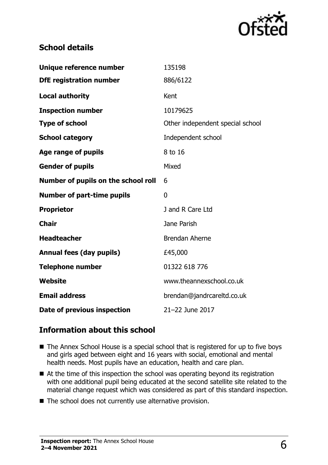

## **School details**

| Unique reference number             | 135198                           |
|-------------------------------------|----------------------------------|
| <b>DfE</b> registration number      | 886/6122                         |
| <b>Local authority</b>              | Kent                             |
| <b>Inspection number</b>            | 10179625                         |
| <b>Type of school</b>               | Other independent special school |
| <b>School category</b>              | Independent school               |
| Age range of pupils                 | 8 to 16                          |
| <b>Gender of pupils</b>             | Mixed                            |
| Number of pupils on the school roll | 6                                |
| <b>Number of part-time pupils</b>   | 0                                |
| <b>Proprietor</b>                   | J and R Care Ltd                 |
| <b>Chair</b>                        | Jane Parish                      |
| <b>Headteacher</b>                  | <b>Brendan Aherne</b>            |
| <b>Annual fees (day pupils)</b>     | £45,000                          |
| <b>Telephone number</b>             | 01322 618 776                    |
|                                     |                                  |
| <b>Website</b>                      | www.theannexschool.co.uk         |
| <b>Email address</b>                | brendan@jandrcareltd.co.uk       |

#### **Information about this school**

- The Annex School House is a special school that is registered for up to five boys and girls aged between eight and 16 years with social, emotional and mental health needs. Most pupils have an education, health and care plan.
- $\blacksquare$  At the time of this inspection the school was operating beyond its registration with one additional pupil being educated at the second satellite site related to the material change request which was considered as part of this standard inspection.
- The school does not currently use alternative provision.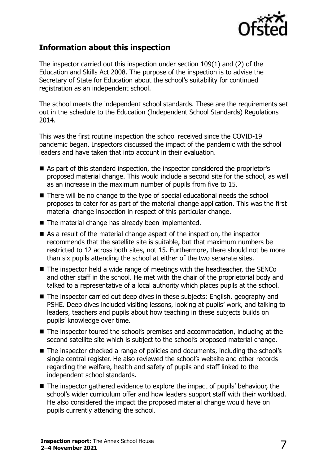

#### **Information about this inspection**

The inspector carried out this inspection under section 109(1) and (2) of the Education and Skills Act 2008. The purpose of the inspection is to advise the Secretary of State for Education about the school's suitability for continued registration as an independent school.

The school meets the independent school standards. These are the requirements set out in the schedule to the Education (Independent School Standards) Regulations 2014.

This was the first routine inspection the school received since the COVID-19 pandemic began. Inspectors discussed the impact of the pandemic with the school leaders and have taken that into account in their evaluation.

- As part of this standard inspection, the inspector considered the proprietor's proposed material change. This would include a second site for the school, as well as an increase in the maximum number of pupils from five to 15.
- There will be no change to the type of special educational needs the school proposes to cater for as part of the material change application. This was the first material change inspection in respect of this particular change.
- The material change has already been implemented.
- As a result of the material change aspect of the inspection, the inspector recommends that the satellite site is suitable, but that maximum numbers be restricted to 12 across both sites, not 15. Furthermore, there should not be more than six pupils attending the school at either of the two separate sites.
- The inspector held a wide range of meetings with the headteacher, the SENCo and other staff in the school. He met with the chair of the proprietorial body and talked to a representative of a local authority which places pupils at the school.
- The inspector carried out deep dives in these subjects: English, geography and PSHE. Deep dives included visiting lessons, looking at pupils' work, and talking to leaders, teachers and pupils about how teaching in these subjects builds on pupils' knowledge over time.
- The inspector toured the school's premises and accommodation, including at the second satellite site which is subject to the school's proposed material change.
- The inspector checked a range of policies and documents, including the school's single central register. He also reviewed the school's website and other records regarding the welfare, health and safety of pupils and staff linked to the independent school standards.
- The inspector gathered evidence to explore the impact of pupils' behaviour, the school's wider curriculum offer and how leaders support staff with their workload. He also considered the impact the proposed material change would have on pupils currently attending the school.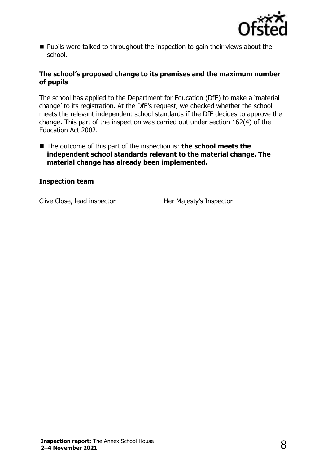

■ Pupils were talked to throughout the inspection to gain their views about the school.

#### **The school's proposed change to its premises and the maximum number of pupils**

The school has applied to the Department for Education (DfE) to make a 'material change' to its registration. At the DfE's request, we checked whether the school meets the relevant independent school standards if the DfE decides to approve the change. This part of the inspection was carried out under section 162(4) of the Education Act 2002.

■ The outcome of this part of the inspection is: **the school meets the independent school standards relevant to the material change. The material change has already been implemented.**

#### **Inspection team**

Clive Close, lead inspector **Her Majesty's Inspector**